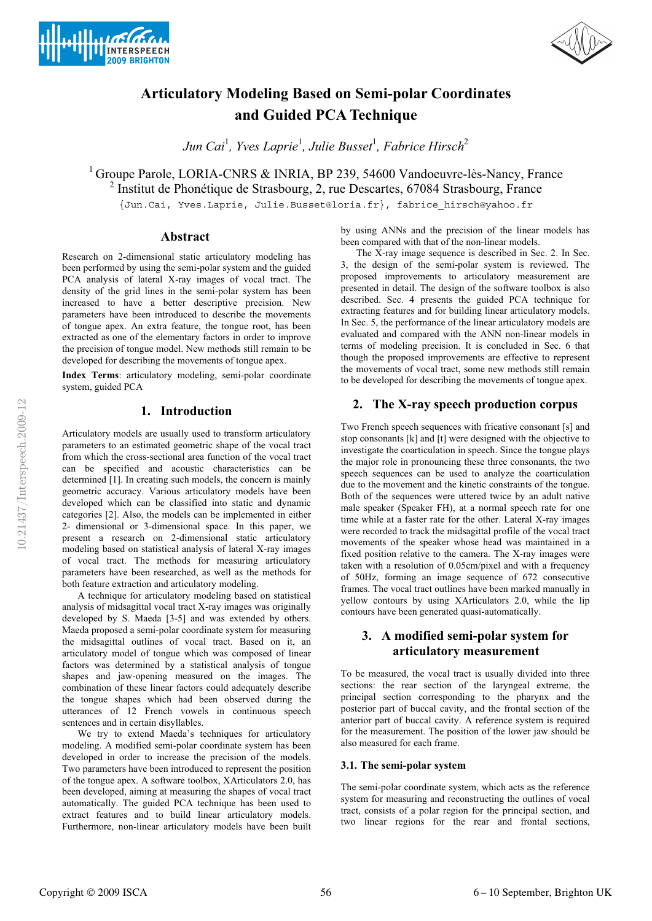



# **Articulatory Modeling Based on Semi-polar Coordinates and Guided PCA Technique**

 $\it{Jun~Cai}^{\rm l}$ , Yves Laprie<sup>1</sup>, Julie Busset<sup>1</sup>, Fabrice Hirsch<sup>2</sup>

<sup>1</sup> Groupe Parole, LORIA-CNRS & INRIA, BP 239, 54600 Vandoeuvre-lès-Nancy, France <sup>2</sup> Institut de Phonétique de Strasbourg, 2, rue Descartes, 67084 Strasbourg, France {Jun.Cai, Yves.Laprie, Julie.Busset@loria.fr}, fabrice\_hirsch@yahoo.fr

# **Abstract**

Research on 2-dimensional static articulatory modeling has been performed by using the semi-polar system and the guided PCA analysis of lateral X-ray images of vocal tract. The density of the grid lines in the semi-polar system has been increased to have a better descriptive precision. New parameters have been introduced to describe the movements of tongue apex. An extra feature, the tongue root, has been extracted as one of the elementary factors in order to improve the precision of tongue model. New methods still remain to be developed for describing the movements of tongue apex.

**Index Terms**: articulatory modeling, semi-polar coordinate system, guided PCA

# **1. Introduction**

Articulatory models are usually used to transform articulatory parameters to an estimated geometric shape of the vocal tract from which the cross-sectional area function of the vocal tract can be specified and acoustic characteristics can be determined [1]. In creating such models, the concern is mainly geometric accuracy. Various articulatory models have been developed which can be classified into static and dynamic categories [2]. Also, the models can be implemented in either 2- dimensional or 3-dimensional space. In this paper, we present a research on 2-dimensional static articulatory modeling based on statistical analysis of lateral X-ray images of vocal tract. The methods for measuring articulatory parameters have been researched, as well as the methods for both feature extraction and articulatory modeling.

A technique for articulatory modeling based on statistical analysis of midsagittal vocal tract X-ray images was originally developed by S. Maeda [3-5] and was extended by others. Maeda proposed a semi-polar coordinate system for measuring the midsagittal outlines of vocal tract. Based on it, an articulatory model of tongue which was composed of linear factors was determined by a statistical analysis of tongue shapes and jaw-opening measured on the images. The combination of these linear factors could adequately describe the tongue shapes which had been observed during the utterances of 12 French vowels in continuous speech sentences and in certain disyllables.

We try to extend Maeda's techniques for articulatory modeling. A modified semi-polar coordinate system has been developed in order to increase the precision of the models. Two parameters have been introduced to represent the position of the tongue apex. A software toolbox, XArticulators 2.0, has been developed, aiming at measuring the shapes of vocal tract automatically. The guided PCA technique has been used to extract features and to build linear articulatory models. Furthermore, non-linear articulatory models have been built by using ANNs and the precision of the linear models has been compared with that of the non-linear models.

The X-ray image sequence is described in Sec. 2. In Sec. 3, the design of the semi-polar system is reviewed. The proposed improvements to articulatory measurement are presented in detail. The design of the software toolbox is also described. Sec. 4 presents the guided PCA technique for extracting features and for building linear articulatory models. In Sec. 5, the performance of the linear articulatory models are evaluated and compared with the ANN non-linear models in terms of modeling precision. It is concluded in Sec. 6 that though the proposed improvements are effective to represent the movements of vocal tract, some new methods still remain to be developed for describing the movements of tongue apex.

# **2. The X-ray speech production corpus**

Two French speech sequences with fricative consonant [s] and stop consonants [k] and [t] were designed with the objective to investigate the coarticulation in speech. Since the tongue plays the major role in pronouncing these three consonants, the two speech sequences can be used to analyze the coarticulation due to the movement and the kinetic constraints of the tongue. Both of the sequences were uttered twice by an adult native male speaker (Speaker FH), at a normal speech rate for one time while at a faster rate for the other. Lateral X-ray images were recorded to track the midsagittal profile of the vocal tract movements of the speaker whose head was maintained in a fixed position relative to the camera. The X-ray images were taken with a resolution of 0.05cm/pixel and with a frequency of 50Hz, forming an image sequence of 672 consecutive frames. The vocal tract outlines have been marked manually in yellow contours by using XArticulators 2.0, while the lip contours have been generated quasi-automatically.

# **3. A modified semi-polar system for articulatory measurement**

To be measured, the vocal tract is usually divided into three sections: the rear section of the laryngeal extreme, the principal section corresponding to the pharynx and the posterior part of buccal cavity, and the frontal section of the anterior part of buccal cavity. A reference system is required for the measurement. The position of the lower jaw should be also measured for each frame.

# **3.1. The semi-polar system**

The semi-polar coordinate system, which acts as the reference system for measuring and reconstructing the outlines of vocal tract, consists of a polar region for the principal section, and two linear regions for the rear and frontal sections,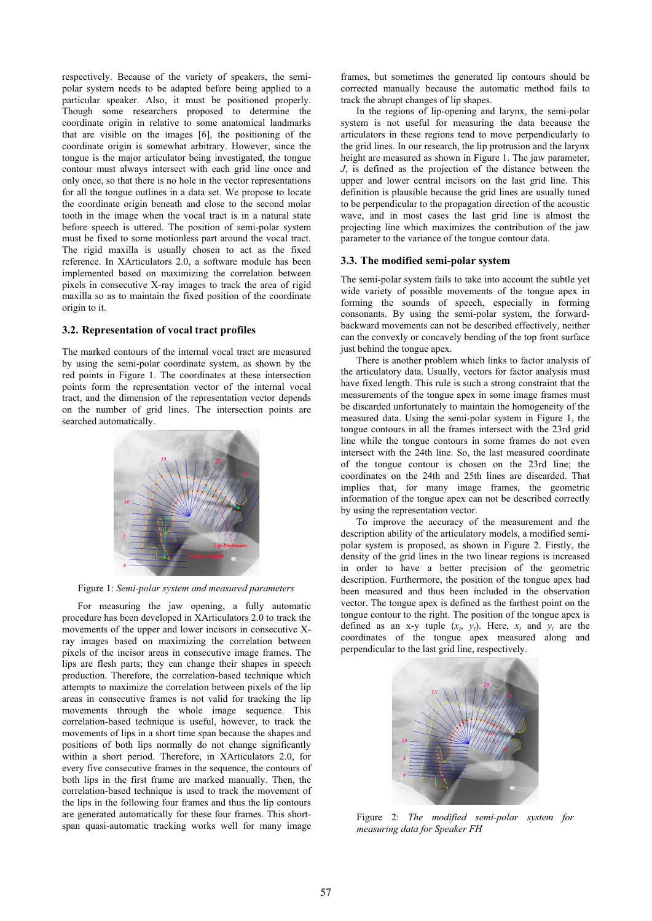respectively. Because of the variety of speakers, the semipolar system needs to be adapted before being applied to a particular speaker. Also, it must be positioned properly. Though some researchers proposed to determine the coordinate origin in relative to some anatomical landmarks that are visible on the images [6], the positioning of the coordinate origin is somewhat arbitrary. However, since the tongue is the major articulator being investigated, the tongue contour must always intersect with each grid line once and only once, so that there is no hole in the vector representations for all the tongue outlines in a data set. We propose to locate the coordinate origin beneath and close to the second molar tooth in the image when the vocal tract is in a natural state before speech is uttered. The position of semi-polar system must be fixed to some motionless part around the vocal tract. The rigid maxilla is usually chosen to act as the fixed reference. In XArticulators 2.0, a software module has been implemented based on maximizing the correlation between pixels in consecutive X-ray images to track the area of rigid maxilla so as to maintain the fixed position of the coordinate origin to it.

#### **3.2. Representation of vocal tract profiles**

The marked contours of the internal vocal tract are measured by using the semi-polar coordinate system, as shown by the red points in Figure 1. The coordinates at these intersection points form the representation vector of the internal vocal tract, and the dimension of the representation vector depends on the number of grid lines. The intersection points are searched automatically.



Figure 1: *Semi-polar system and measured parameters*

For measuring the jaw opening, a fully automatic procedure has been developed in XArticulators 2.0 to track the movements of the upper and lower incisors in consecutive Xray images based on maximizing the correlation between pixels of the incisor areas in consecutive image frames. The lips are flesh parts; they can change their shapes in speech production. Therefore, the correlation-based technique which attempts to maximize the correlation between pixels of the lip areas in consecutive frames is not valid for tracking the lip movements through the whole image sequence. This correlation-based technique is useful, however, to track the movements of lips in a short time span because the shapes and positions of both lips normally do not change significantly within a short period. Therefore, in XArticulators 2.0, for every five consecutive frames in the sequence, the contours of both lips in the first frame are marked manually. Then, the correlation-based technique is used to track the movement of the lips in the following four frames and thus the lip contours are generated automatically for these four frames. This shortspan quasi-automatic tracking works well for many image frames, but sometimes the generated lip contours should be corrected manually because the automatic method fails to track the abrupt changes of lip shapes.

In the regions of lip-opening and larynx, the semi-polar system is not useful for measuring the data because the articulators in these regions tend to move perpendicularly to the grid lines. In our research, the lip protrusion and the larynx height are measured as shown in Figure 1. The jaw parameter, *J*, is defined as the projection of the distance between the upper and lower central incisors on the last grid line. This definition is plausible because the grid lines are usually tuned to be perpendicular to the propagation direction of the acoustic wave, and in most cases the last grid line is almost the projecting line which maximizes the contribution of the jaw parameter to the variance of the tongue contour data.

#### **3.3. The modified semi-polar system**

The semi-polar system fails to take into account the subtle yet wide variety of possible movements of the tongue apex in forming the sounds of speech, especially in forming consonants. By using the semi-polar system, the forwardbackward movements can not be described effectively, neither can the convexly or concavely bending of the top front surface just behind the tongue apex.

There is another problem which links to factor analysis of the articulatory data. Usually, vectors for factor analysis must have fixed length. This rule is such a strong constraint that the measurements of the tongue apex in some image frames must be discarded unfortunately to maintain the homogeneity of the measured data. Using the semi-polar system in Figure 1, the tongue contours in all the frames intersect with the 23rd grid line while the tongue contours in some frames do not even intersect with the 24th line. So, the last measured coordinate of the tongue contour is chosen on the 23rd line; the coordinates on the 24th and 25th lines are discarded. That implies that, for many image frames, the geometric information of the tongue apex can not be described correctly by using the representation vector.

To improve the accuracy of the measurement and the description ability of the articulatory models, a modified semipolar system is proposed, as shown in Figure 2. Firstly, the density of the grid lines in the two linear regions is increased in order to have a better precision of the geometric description. Furthermore, the position of the tongue apex had been measured and thus been included in the observation vector. The tongue apex is defined as the farthest point on the tongue contour to the right. The position of the tongue apex is defined as an x-y tuple  $(x_t, y_t)$ . Here,  $x_t$  and  $y_t$  are the coordinates of the tongue apex measured along and perpendicular to the last grid line, respectively.



Figure 2: *The modified semi-polar system for measuring data for Speaker FH*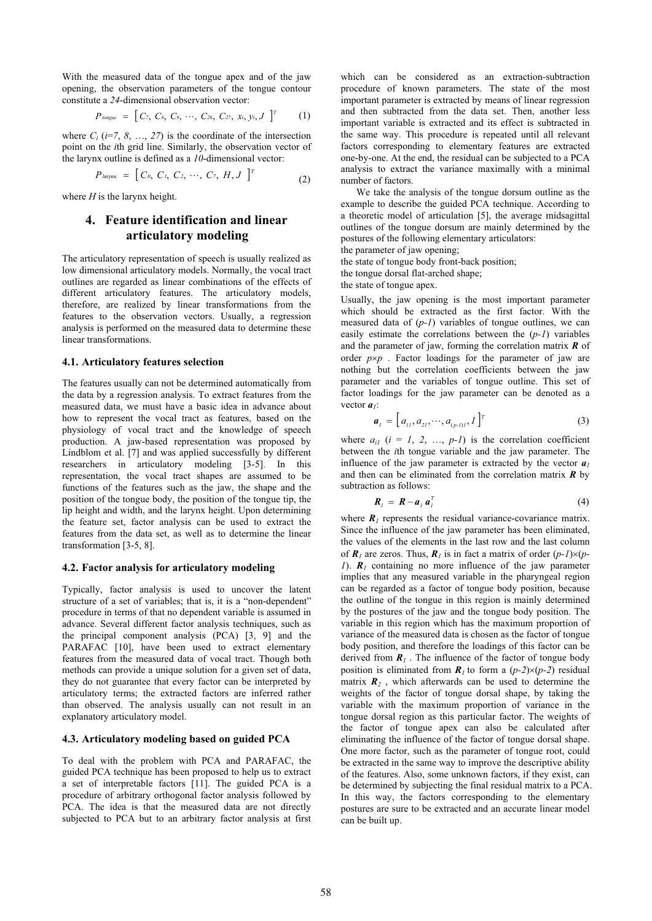With the measured data of the tongue apex and of the jaw opening, the observation parameters of the tongue contour constitute a *24*-dimensional observation vector:

$$
P_{\text{longue}} = [C_7, C_8, C_9, \cdots, C_{26}, C_{27}, x_t, y_t, J]^T \qquad (1)
$$

where  $C_i$  ( $i=7, 8, ..., 27$ ) is the coordinate of the intersection point on the *i*th grid line. Similarly, the observation vector of the larynx outline is defined as a *10*-dimensional vector:

$$
P_{\text{larynx}} = [C_0, C_1, C_2, \cdots, C_7, H, J]^T
$$
 (2)

where  $H$  is the larynx height.

# **4. Feature identification and linear articulatory modeling**

The articulatory representation of speech is usually realized as low dimensional articulatory models. Normally, the vocal tract outlines are regarded as linear combinations of the effects of different articulatory features. The articulatory models, therefore, are realized by linear transformations from the features to the observation vectors. Usually, a regression analysis is performed on the measured data to determine these linear transformations.

### **4.1. Articulatory features selection**

The features usually can not be determined automatically from the data by a regression analysis. To extract features from the measured data, we must have a basic idea in advance about how to represent the vocal tract as features, based on the physiology of vocal tract and the knowledge of speech production. A jaw-based representation was proposed by Lindblom et al. [7] and was applied successfully by different researchers in articulatory modeling [3-5]. In this representation, the vocal tract shapes are assumed to be functions of the features such as the jaw, the shape and the position of the tongue body, the position of the tongue tip, the lip height and width, and the larynx height. Upon determining the feature set, factor analysis can be used to extract the features from the data set, as well as to determine the linear transformation [3-5, 8].

### **4.2. Factor analysis for articulatory modeling**

Typically, factor analysis is used to uncover the latent structure of a set of variables; that is, it is a "non-dependent" procedure in terms of that no dependent variable is assumed in advance. Several different factor analysis techniques, such as the principal component analysis (PCA) [3, 9] and the PARAFAC [10], have been used to extract elementary features from the measured data of vocal tract. Though both methods can provide a unique solution for a given set of data, they do not guarantee that every factor can be interpreted by articulatory terms; the extracted factors are inferred rather than observed. The analysis usually can not result in an explanatory articulatory model.

### **4.3. Articulatory modeling based on guided PCA**

To deal with the problem with PCA and PARAFAC, the guided PCA technique has been proposed to help us to extract a set of interpretable factors [11]. The guided PCA is a procedure of arbitrary orthogonal factor analysis followed by PCA. The idea is that the measured data are not directly subjected to PCA but to an arbitrary factor analysis at first which can be considered as an extraction-subtraction procedure of known parameters. The state of the most important parameter is extracted by means of linear regression and then subtracted from the data set. Then, another less important variable is extracted and its effect is subtracted in the same way. This procedure is repeated until all relevant factors corresponding to elementary features are extracted one-by-one. At the end, the residual can be subjected to a PCA analysis to extract the variance maximally with a minimal number of factors.

We take the analysis of the tongue dorsum outline as the example to describe the guided PCA technique. According to a theoretic model of articulation [5], the average midsagittal outlines of the tongue dorsum are mainly determined by the postures of the following elementary articulators:

the parameter of jaw opening;

the state of tongue body front-back position;

the tongue dorsal flat-arched shape;

the state of tongue apex.

Usually, the jaw opening is the most important parameter which should be extracted as the first factor. With the measured data of (*p-1*) variables of tongue outlines, we can easily estimate the correlations between the (*p-1*) variables and the parameter of jaw, forming the correlation matrix *R* of order  $p \times p$ . Factor loadings for the parameter of jaw are nothing but the correlation coefficients between the jaw parameter and the variables of tongue outline. This set of factor loadings for the jaw parameter can be denoted as a vector *a1*:

$$
\boldsymbol{a}_{1} = [a_{11}, a_{21}, \cdots, a_{(p-1)1}, 1]^{T}
$$
\n(3)

where  $a_{i1}$  ( $i = 1, 2, ..., p-1$ ) is the correlation coefficient between the *i*th tongue variable and the jaw parameter. The influence of the jaw parameter is extracted by the vector  $a_1$ and then can be eliminated from the correlation matrix *R* by subtraction as follows:

$$
\boldsymbol{R}_I = \boldsymbol{R} - \boldsymbol{a}_I \, \boldsymbol{a}_I^T \tag{4}
$$

where  $\mathbf{R}_l$  represents the residual variance-covariance matrix. Since the influence of the jaw parameter has been eliminated, the values of the elements in the last row and the last column of  $\mathbf{R}_l$  are zeros. Thus,  $\mathbf{R}_l$  is in fact a matrix of order  $(p-l)\times(p-l)$ *1*). *R1* containing no more influence of the jaw parameter implies that any measured variable in the pharyngeal region can be regarded as a factor of tongue body position, because the outline of the tongue in this region is mainly determined by the postures of the jaw and the tongue body position. The variable in this region which has the maximum proportion of variance of the measured data is chosen as the factor of tongue body position, and therefore the loadings of this factor can be derived from  $\mathbf{R}_l$ . The influence of the factor of tongue body position is eliminated from  $\mathbf{R}_l$  to form a  $(p-2)\times(p-2)$  residual matrix  $\mathbf{R}_2$ , which afterwards can be used to determine the weights of the factor of tongue dorsal shape, by taking the variable with the maximum proportion of variance in the tongue dorsal region as this particular factor. The weights of the factor of tongue apex can also be calculated after eliminating the influence of the factor of tongue dorsal shape. One more factor, such as the parameter of tongue root, could be extracted in the same way to improve the descriptive ability of the features. Also, some unknown factors, if they exist, can be determined by subjecting the final residual matrix to a PCA. In this way, the factors corresponding to the elementary postures are sure to be extracted and an accurate linear model can be built up.